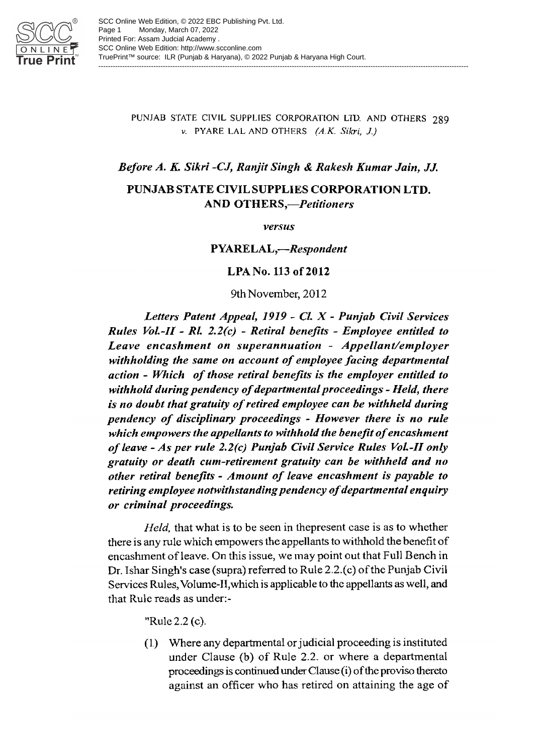

#### PUNJAB STATE CIVIL SUPPLIES CORPORATION LTD. AND OTHERS 289 v. PYARE LAL AND OTHERS  $(A.K. Sikri, J.)$

## Before A. K. Sikri -CJ, Ranjit Singh & Rakesh Kumar Jain, JJ.

## PUNJAB STATE CIVIL SUPPLIES CORPORATION LTD. **AND OTHERS,**-Petitioners

versus

**PYARELAL,-Respondent** 

LPA No. 113 of 2012

9th November, 2012

Letters Patent Appeal, 1919 - Cl. X - Punjab Civil Services Rules Vol.-II - Rl. 2.2(c) - Retiral benefits - Employee entitled to Leave encashment on superannuation - Appellant/employer withholding the same on account of employee facing departmental action - Which of those retiral benefits is the employer entitled to withhold during pendency of departmental proceedings - Held, there is no doubt that gratuity of retired employee can be withheld during pendency of disciplinary proceedings - However there is no rule which empowers the appellants to withhold the benefit of encashment of leave - As per rule 2.2(c) Punjab Civil Service Rules Vol.-II only gratuity or death cum-retirement gratuity can be withheld and no other retiral benefits - Amount of leave encashment is payable to retiring employee notwithstanding pendency of departmental enquiry or criminal proceedings.

*Held*, that what is to be seen in thepresent case is as to whether there is any rule which empowers the appellants to withhold the benefit of encashment of leave. On this issue, we may point out that Full Bench in Dr. Ishar Singh's case (supra) referred to Rule 2.2.(c) of the Punjab Civil Services Rules, Volume-II, which is applicable to the appellants as well, and that Rule reads as under:-

"Rule 2.2 (c).

(1) Where any departmental or judicial proceeding is instituted under Clause (b) of Rule 2.2. or where a departmental proceedings is continued under Clause (i) of the proviso thereto against an officer who has retired on attaining the age of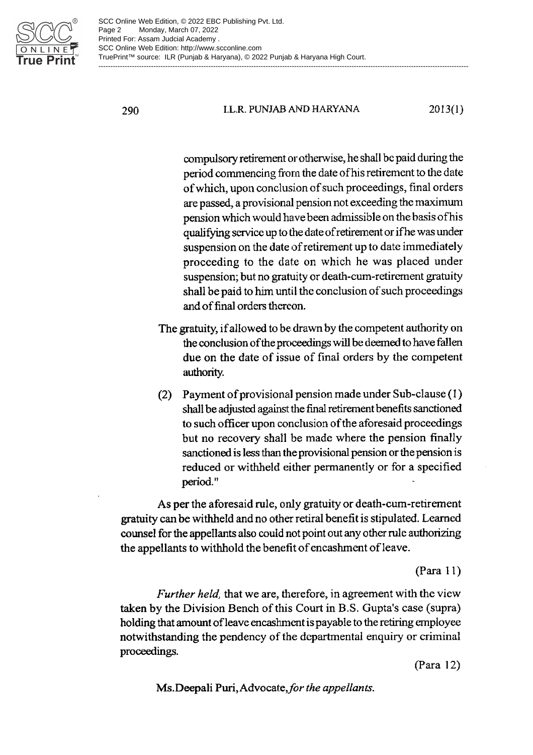

#### **I.L.R. PUNJAB AND HARYANA**  $2013(1)$

compulsory retirement or otherwise, he shall be paid during the period commencing from the date of his retirement to the date of which, upon conclusion of such proceedings, final orders are passed, a provisional pension not exceeding the maximum pension which would have been admissible on the basis of his qualifying service up to the date of retirement or if he was under suspension on the date of retirement up to date immediately proceeding to the date on which he was placed under suspension; but no gratuity or death-cum-retirement gratuity shall be paid to him until the conclusion of such proceedings and of final orders thereon.

- The gratuity, if allowed to be drawn by the competent authority on the conclusion of the proceedings will be deemed to have fallen due on the date of issue of final orders by the competent authority.
- (2) Payment of provisional pension made under Sub-clause (1) shall be adjusted against the final retirement benefits sanctioned to such officer upon conclusion of the aforesaid proceedings but no recovery shall be made where the pension finally sanctioned is less than the provisional pension or the pension is reduced or withheld either permanently or for a specified period."

As per the aforesaid rule, only gratuity or death-cum-retirement gratuity can be withheld and no other retiral benefit is stipulated. Learned counsel for the appellants also could not point out any other rule authorizing the appellants to withhold the benefit of encashment of leave.

#### $(Para 11)$

*Further held*, that we are, therefore, in agreement with the view taken by the Division Bench of this Court in B.S. Gupta's case (supra) holding that amount of leave encashment is payable to the retiring employee notwithstanding the pendency of the departmental enquiry or criminal proceedings.

 $(Para 12)$ 

Ms. Deepali Puri, Advocate, for the appellants.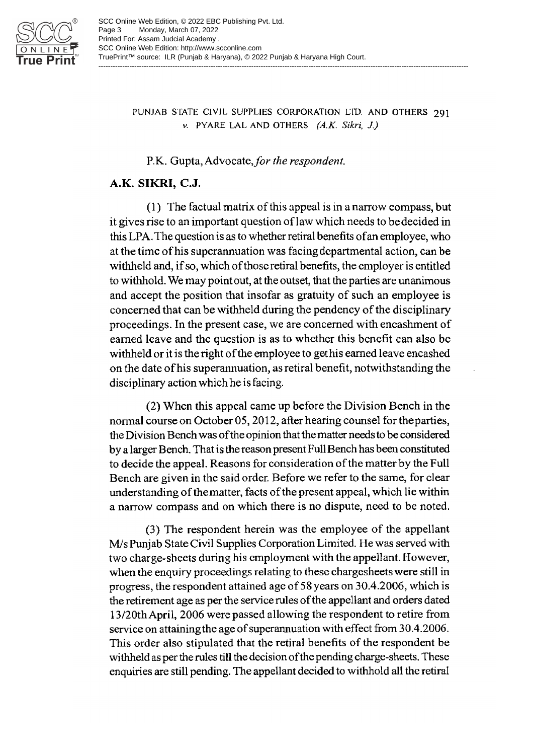

#### PUNJAB STATE CIVIL SUPPLIES CORPORATION LTD. AND OTHERS 291 v. PYARE LAL AND OTHERS  $(A,K, Sikri, J)$

## P.K. Gupta, Advocate, for the respondent.

## A.K. SIKRI, C.J.

(1) The factual matrix of this appeal is in a narrow compass, but it gives rise to an important question of law which needs to be decided in this LPA. The question is as to whether retiral benefits of an employee, who at the time of his superannuation was facing departmental action, can be withheld and, if so, which of those retiral benefits, the employer is entitled to withhold. We may point out, at the outset, that the parties are unanimous and accept the position that insofar as gratuity of such an employee is concerned that can be withheld during the pendency of the disciplinary proceedings. In the present case, we are concerned with encashment of earned leave and the question is as to whether this benefit can also be withheld or it is the right of the employee to gethis earned leave encashed on the date of his superannuation, as retiral benefit, not with standing the disciplinary action which he is facing.

(2) When this appeal came up before the Division Bench in the normal course on October 05, 2012, after hearing counsel for the parties, the Division Bench was of the opinion that the matter needs to be considered by a larger Bench. That is the reason present Full Bench has been constituted to decide the appeal. Reasons for consideration of the matter by the Full Bench are given in the said order. Before we refer to the same, for clear understanding of the matter, facts of the present appeal, which lie within a narrow compass and on which there is no dispute, need to be noted.

(3) The respondent herein was the employee of the appellant M/s Punjab State Civil Supplies Corporation Limited. He was served with two charge-sheets during his employment with the appellant. However, when the enquiry proceedings relating to these chargesheets were still in progress, the respondent attained age of 58 years on 30.4.2006, which is the retirement age as per the service rules of the appellant and orders dated 13/20th April, 2006 were passed allowing the respondent to retire from service on attaining the age of superannuation with effect from 30.4.2006. This order also stipulated that the retiral benefits of the respondent be withheld as per the rules till the decision of the pending charge-sheets. These enquiries are still pending. The appellant decided to withhold all the retiral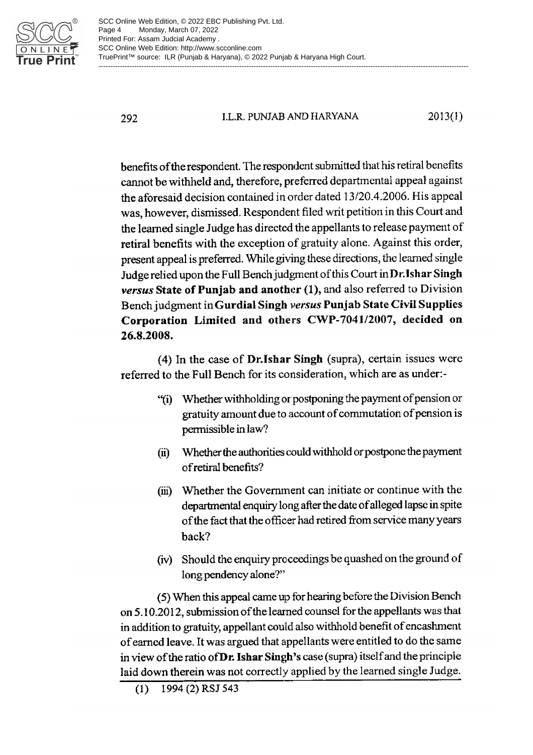

**LL R. PUNJAB AND HARYANA** 2013(1)

benefits of the respondent. The respondent submitted that his retiral benefits cannot be withheld and, therefore, preferred departmental appeal against the aforesaid decision contained in order dated 13/20.4.2006. His appeal was, however, dismissed. Respondent filed writ petition in this Court and the learned single Judge has directed the appellants to release payment of retiral benefits with the exception of gratuity alone. Against this order, present appeal is preferred. While giving these directions, the learned single Judge relied upon the Full Bench judgment of this Court in Dr. Ishar Singh versus State of Puniab and another (1), and also referred to Division Bench judgment in Gurdial Singh versus Punjab State Civil Supplies Corporation Limited and others CWP-7041/2007, decided on 26.8.2008.

(4) In the case of **Dr.Ishar Singh** (supra), certain issues were referred to the Full Bench for its consideration, which are as under:-

- "(i) Whether withholding or postponing the payment of pension or gratuity amount due to account of commutation of pension is permissible in law?
- Whether the authorities could withhold or postpone the payment (ii) of retiral benefits?
- (iii) Whether the Government can initiate or continue with the departmental enquiry long after the date of alleged lapse in spite of the fact that the officer had retired from service many years hack?
- (iv) Should the enquiry proceedings be quashed on the ground of long pendency alone?"

(5) When this appeal came up for hearing before the Division Bench on 5.10.2012, submission of the learned counsel for the appellants was that in addition to gratuity, appellant could also withhold benefit of encashment of earned leave. It was argued that appellants were entitled to do the same in view of the ratio of Dr. Ishar Singh's case (supra) itself and the principle laid down therein was not correctly applied by the learned single Judge.

<sup>1994 (2)</sup> RSJ 543  $(1)$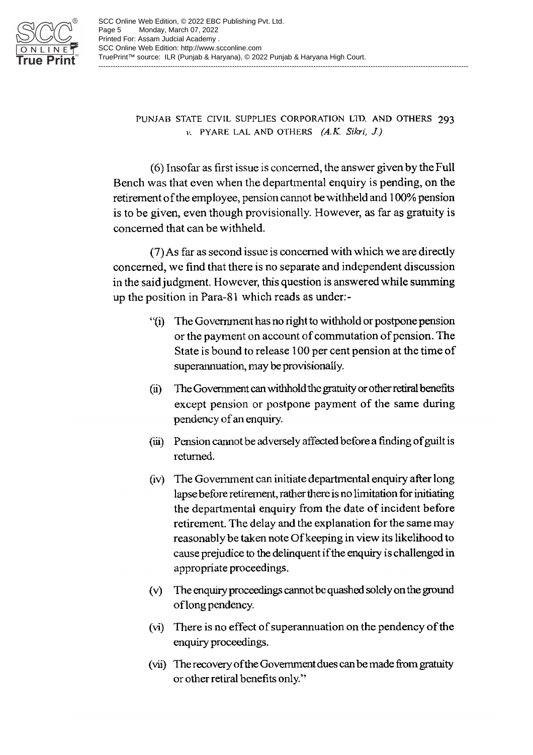

PUNJAB STATE CIVIL SUPPLIES CORPORATION LTD. AND OTHERS 293 v. PYARE LAL AND OTHERS  $(A.K. Sikri, J.)$ 

(6) Insofar as first issue is concerned, the answer given by the Full Bench was that even when the departmental enguiry is pending, on the retirement of the employee, pension cannot be withheld and 100% pension is to be given, even though provisionally. However, as far as gratuity is concerned that can be withheld.

(7) As far as second issue is concerned with which we are directly concerned, we find that there is no separate and independent discussion in the said judgment. However, this question is answered while summing up the position in Para-81 which reads as under:-

- "(i) The Government has no right to withhold or postpone pension or the payment on account of commutation of pension. The State is bound to release 100 per cent pension at the time of superannuation, may be provisionally.
- The Government can withhold the gratuity or other retiral benefits  $(ii)$ except pension or postpone payment of the same during pendency of an enquiry.
- (iii) Pension cannot be adversely affected before a finding of guilt is returned.
- (iv) The Government can initiate departmental enquiry after long lapse before retirement, rather there is no limitation for initiating the departmental enquiry from the date of incident before retirement. The delay and the explanation for the same may reasonably be taken note Of keeping in view its likelihood to cause prejudice to the delinquent if the enquiry is challenged in appropriate proceedings.
- (v) The enquiry proceedings cannot be quashed solely on the ground of long pendency.
- (vi) There is no effect of superannuation on the pendency of the enquiry proceedings.
- (vii) The recovery of the Government dues can be made from gratuity or other retiral benefits only."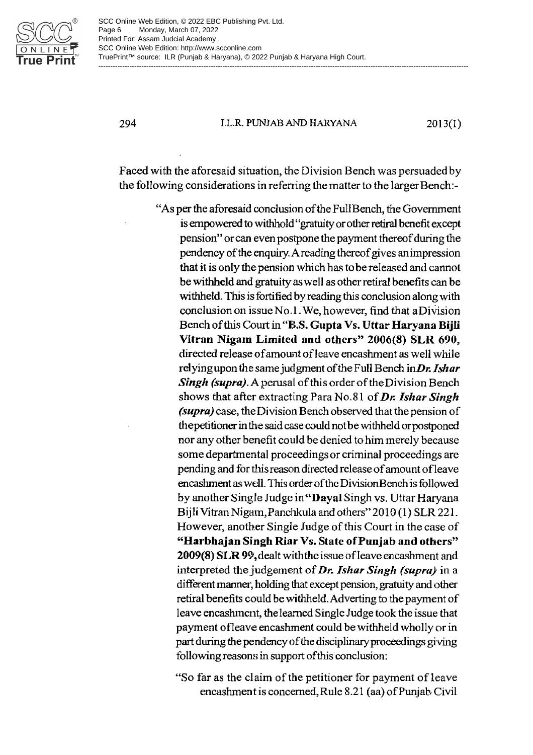

I.L.R. PUNJAB AND HARYANA

 $2013(1)$ 

Faced with the aforesaid situation, the Division Bench was persuaded by the following considerations in referring the matter to the larger Bench:-

> "As per the aforesaid conclusion of the Full Bench, the Government is empowered to withhold "gratuity or other retiral benefit except pension" or can even postpone the payment thereof during the pendency of the enquiry. A reading thereof gives an impression that it is only the pension which has to be released and cannot be withheld and gratuity as well as other retiral benefits can be withheld. This is fortified by reading this conclusion along with conclusion on issue No.1. We, however, find that a Division Bench of this Court in "B.S. Gupta Vs. Uttar Haryana Bijli Vitran Nigam Limited and others" 2006(8) SLR 690, directed release of amount of leave encashment as well while relying upon the same judgment of the Full Bench in  $Dr. Is har$ Singh (supra). A perusal of this order of the Division Bench shows that after extracting Para No.81 of Dr. Ishar Singh (supra) case, the Division Bench observed that the pension of the petitioner in the said case could not be withheld or postponed nor any other benefit could be denied to him merely because some departmental proceedings or criminal proceedings are pending and for this reason directed release of amount of leave encashment as well. This order of the Division Bench is followed by another Single Judge in "Dayal Singh vs. Uttar Haryana Bijli Vitran Nigam, Panchkula and others" 2010 (1) SLR 221. However, another Single Judge of this Court in the case of "Harbhajan Singh Riar Vs. State of Punjab and others" 2009(8) SLR 99, dealt with the issue of leave encashment and interpreted the judgement of Dr. Ishar Singh (supra) in a different manner, holding that except pension, gratuity and other retiral benefits could be withheld. Adverting to the payment of leave encashment, the learned Single Judge took the issue that payment of leave encashment could be withheld wholly or in part during the pendency of the disciplinary proceedings giving following reasons in support of this conclusion:

"So far as the claim of the petitioner for payment of leave encashment is concerned, Rule 8.21 (aa) of Punjab Civil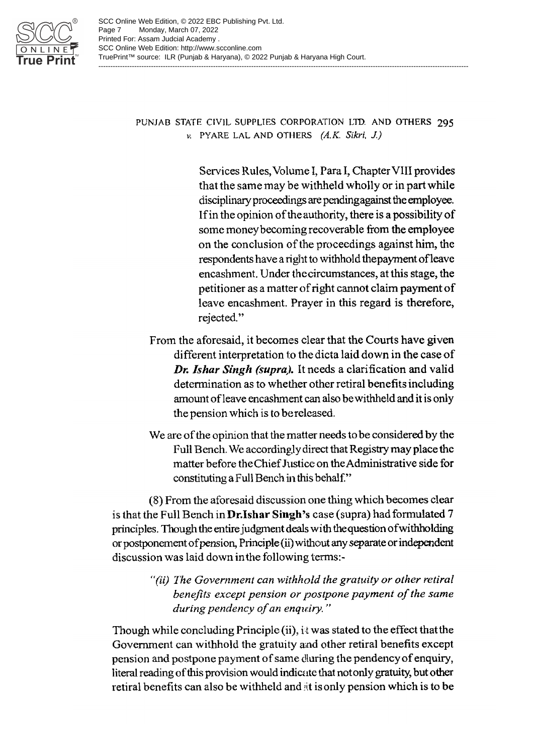

PUNJAB STATE CIVIL SUPPLIES CORPORATION LTD. AND OTHERS 295 v. PYARE LAL AND OTHERS (A.K. Sikri, J.)

> Services Rules, Volume I, Para I, Chapter VIII provides that the same may be withheld wholly or in part while disciplinary proceedings are pending against the employee. If in the opinion of the authority, there is a possibility of some money becoming recoverable from the employee on the conclusion of the proceedings against him, the respondents have a right to withhold the payment of leave encashment. Under the circumstances, at this stage, the petitioner as a matter of right cannot claim payment of leave encashment. Prayer in this regard is therefore, rejected."

- From the aforesaid, it becomes clear that the Courts have given different interpretation to the dicta laid down in the case of Dr. Ishar Singh (supra). It needs a clarification and valid determination as to whether other retiral benefits including amount of leave encashment can also be withheld and it is only the pension which is to be released.
- We are of the opinion that the matter needs to be considered by the Full Bench. We accordingly direct that Registry may place the matter before the Chief Justice on the Administrative side for constituting a Full Bench in this behalf."

(8) From the aforesaid discussion one thing which becomes clear is that the Full Bench in Dr. Ishar Singh's case (supra) had formulated 7 principles. Though the entire judgment deals with the question of withholding or postponement of pension, Principle (ii) without any separate or independent discussion was laid down in the following terms:-

> "(ii) The Government can withhold the gratuity or other retiral benefits except pension or postpone payment of the same during pendency of an enquiry."

Though while concluding Principle (ii), it was stated to the effect that the Government can withhold the gratuity and other retiral benefits except pension and postpone payment of same during the pendency of enquiry, literal reading of this provision would indicate that not only gratuity, but other retiral benefits can also be withheld and it is only pension which is to be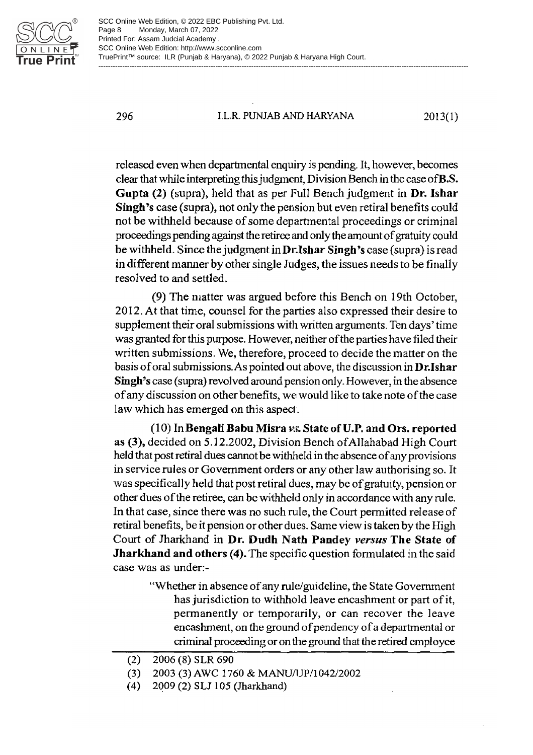

296

#### **I.L.R. PUNJAB AND HARYANA**

 $2013(1)$ 

released even when departmental enguiry is pending. It, however, becomes clear that while interpreting this judgment, Division Bench in the case of **B.S.** Gupta (2) (supra), held that as per Full Bench judgment in Dr. Ishar Singh's case (supra), not only the pension but even retiral benefits could not be withheld because of some departmental proceedings or criminal proceedings pending against the retiree and only the amount of gratuity could be withheld. Since the judgment in Dr. Ishar Singh's case (supra) is read in different manner by other single Judges, the issues needs to be finally resolved to and settled.

(9) The matter was argued before this Bench on 19th October, 2012. At that time, counsel for the parties also expressed their desire to supplement their oral submissions with written arguments. Ten days' time was granted for this purpose. However, neither of the parties have filed their written submissions. We, therefore, proceed to decide the matter on the basis of oral submissions. As pointed out above, the discussion in Dr. Ishar Singh's case (supra) revolved around pension only. However, in the absence of any discussion on other benefits, we would like to take note of the case law which has emerged on this aspect.

(10) In Bengali Babu Misra vs. State of U.P. and Ors. reported as (3), decided on 5.12.2002, Division Bench of Allahabad High Court held that post retiral dues cannot be withheld in the absence of any provisions in service rules or Government orders or any other law authorising so. It was specifically held that post retiral dues, may be of gratuity, pension or other dues of the retiree, can be withheld only in accordance with any rule. In that case, since there was no such rule, the Court permitted release of retiral benefits, be it pension or other dues. Same view is taken by the High Court of Jharkhand in Dr. Dudh Nath Pandey versus The State of **Jharkhand and others (4).** The specific question formulated in the said case was as under:-

> "Whether in absence of any rule/guideline, the State Government has jurisdiction to withhold leave encashment or part of it, permanently or temporarily, or can recover the leave encashment, on the ground of pendency of a departmental or criminal proceeding or on the ground that the retired employee

 $(2)$ 2006 (8) SLR 690

 $(3)$ 2003 (3) AWC 1760 & MANU/UP/1042/2002

 $(4)$ 2009 (2) SLJ 105 (Jharkhand)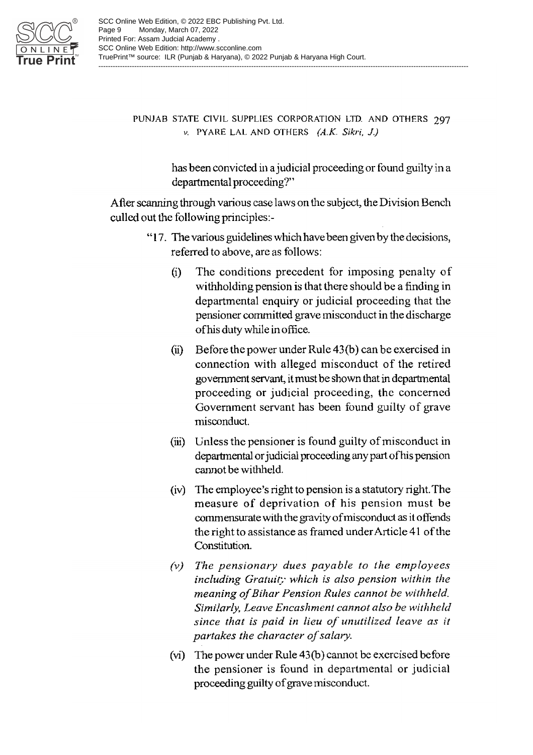

## PUNJAB STATE CIVIL SUPPLIES CORPORATION LTD. AND OTHERS 297 v. PYARE LAL AND OTHERS (A.K. Sikri, J.)

has been convicted in a judicial proceeding or found guilty in a departmental proceeding?"

After scanning through various case laws on the subject, the Division Bench culled out the following principles:-

- "17. The various guidelines which have been given by the decisions, referred to above, are as follows:
	- The conditions precedent for imposing penalty of  $(i)$ withholding pension is that there should be a finding in departmental enquiry or judicial proceeding that the pensioner committed grave misconduct in the discharge of his duty while in office.
	- (ii) Before the power under Rule  $43(b)$  can be exercised in connection with alleged misconduct of the retired government servant, it must be shown that in departmental proceeding or judicial proceeding, the concerned Government servant has been found guilty of grave misconduct.
	- (iii) Unless the pensioner is found guilty of misconduct in departmental or judicial proceeding any part of his pension cannot be withheld.
	- (iv) The employee's right to pension is a statutory right. The measure of deprivation of his pension must be commensurate with the gravity of misconduct as it offends the right to assistance as framed under Article 41 of the Constitution.
	- $(v)$  The pensionary dues payable to the employees including Gratuit; which is also pension within the meaning of Bihar Pension Rules cannot be withheld. Similarly, Leave Encashment cannot also be withheld since that is paid in lieu of unutilized leave as it partakes the character of salary.
	- (vi) The power under Rule 43(b) cannot be exercised before the pensioner is found in departmental or judicial proceeding guilty of grave misconduct.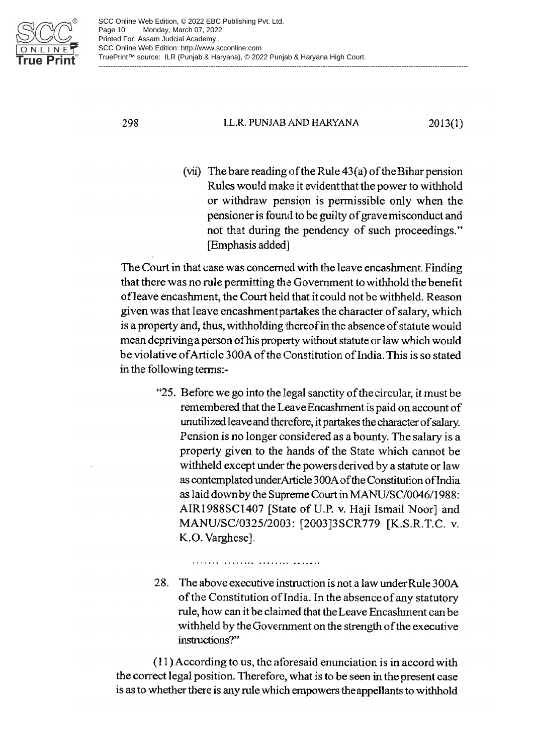

298

#### I.L.R. PUNJAB AND HARYANA

 $2013(1)$ 

(vii) The bare reading of the Rule  $43(a)$  of the Bihar pension Rules would make it evident that the power to withhold or withdraw pension is permissible only when the pensioner is found to be guilty of grave misconduct and not that during the pendency of such proceedings." [Emphasis added]

The Court in that case was concerned with the leave encashment. Finding that there was no rule permitting the Government to withhold the benefit of leave encashment, the Court held that it could not be withheld. Reason given was that leave encashment partakes the character of salary, which is a property and, thus, withholding thereof in the absence of statute would mean depriving a person of his property without statute or law which would be violative of Article 300A of the Constitution of India. This is so stated in the following terms:-

> "25. Before we go into the legal sanctity of the circular, it must be remembered that the Leave Encashment is paid on account of unutilized leave and therefore, it partakes the character of salary. Pension is no longer considered as a bounty. The salary is a property given to the hands of the State which cannot be withheld except under the powers derived by a statute or law as contemplated under Article 300A of the Constitution of India as laid down by the Supreme Court in MANU/SC/0046/1988: AIR1988SC1407 [State of U.P. v. Haji Ismail Noor] and MANU/SC/0325/2003: [2003]3SCR779 [K.S.R.T.C. v. K.O. Varghese].

> 28. The above executive instruction is not a law under Rule 300A of the Constitution of India. In the absence of any statutory rule, how can it be claimed that the Leave Encashment can be withheld by the Government on the strength of the executive instructions?"

(11) According to us, the aforesaid enunciation is in accord with the correct legal position. Therefore, what is to be seen in the present case is as to whether there is any rule which empowers the appellants to withhold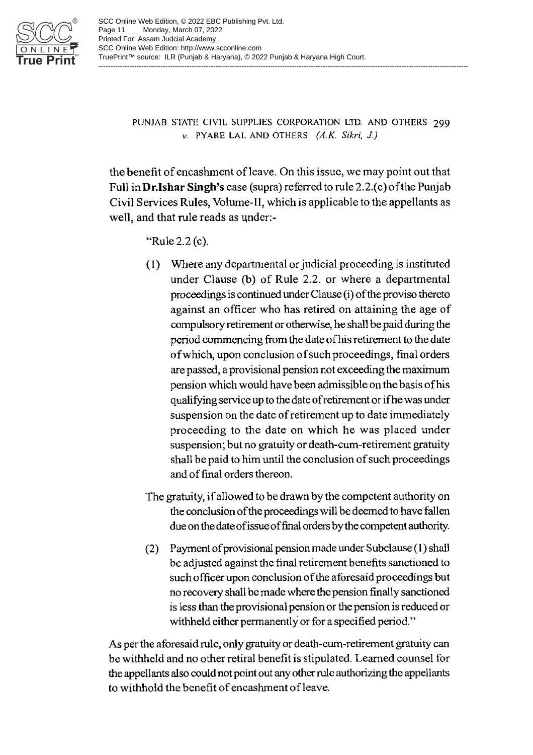

PUNJAB STATE CIVIL SUPPLIES CORPORATION LTD. AND OTHERS 299  $\nu$ . PYARE LAL AND OTHERS  $(A,K, Sikri, J.)$ 

the benefit of encashment of leave. On this issue, we may point out that Full in Dr.Ishar Singh's case (supra) referred to rule 2.2.(c) of the Punjab Civil Services Rules, Volume-II, which is applicable to the appellants as well, and that rule reads as under:-

"Rule 2.2 (c).

- (1) Where any departmental or judicial proceeding is instituted under Clause (b) of Rule 2.2, or where a departmental proceedings is continued under Clause (i) of the proviso thereto against an officer who has retired on attaining the age of compulsory retirement or otherwise, he shall be paid during the period commencing from the date of his retirement to the date of which, upon conclusion of such proceedings, final orders are passed, a provisional pension not exceeding the maximum pension which would have been admissible on the basis of his qualifying service up to the date of retirement or if he was under suspension on the date of retirement up to date immediately proceeding to the date on which he was placed under suspension; but no gratuity or death-cum-retirement gratuity shall be paid to him until the conclusion of such proceedings and of final orders thereon.
- The gratuity, if allowed to be drawn by the competent authority on the conclusion of the proceedings will be deemed to have fallen due on the date of issue of final orders by the competent authority.
- (2) Payment of provisional pension made under Subclause (1) shall be adjusted against the final retirement benefits sanctioned to such officer upon conclusion of the aforesaid proceedings but no recovery shall be made where the pension finally sanctioned is less than the provisional pension or the pension is reduced or withheld either permanently or for a specified period."

As per the aforesaid rule, only gratuity or death-cum-retirement gratuity can be withheld and no other retiral benefit is stipulated. Learned counsel for the appellants also could not point out any other rule authorizing the appellants to withhold the benefit of encashment of leave.